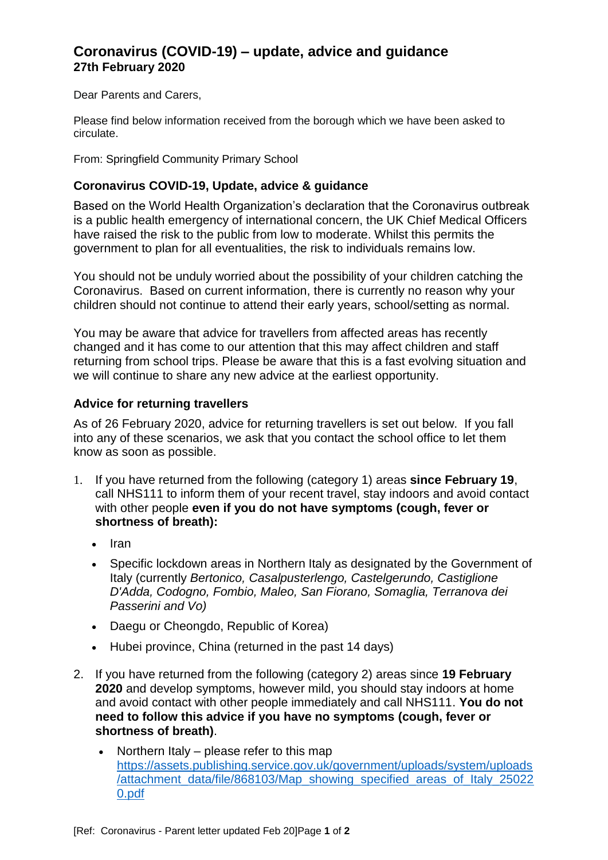# **Coronavirus (COVID-19) – update, advice and guidance 27th February 2020**

Dear Parents and Carers,

Please find below information received from the borough which we have been asked to circulate.

From: Springfield Community Primary School

## **Coronavirus COVID-19, Update, advice & guidance**

Based on the World Health Organization's declaration that the Coronavirus outbreak is a public health emergency of international concern, the UK Chief Medical Officers have raised the risk to the public from low to moderate. Whilst this permits the government to plan for all eventualities, the risk to individuals remains low.

You should not be unduly worried about the possibility of your children catching the Coronavirus. Based on current information, there is currently no reason why your children should not continue to attend their early years, school/setting as normal.

You may be aware that advice for travellers from affected areas has recently changed and it has come to our attention that this may affect children and staff returning from school trips. Please be aware that this is a fast evolving situation and we will continue to share any new advice at the earliest opportunity.

#### **Advice for returning travellers**

As of 26 February 2020, advice for returning travellers is set out below. If you fall into any of these scenarios, we ask that you contact the school office to let them know as soon as possible.

- 1. If you have returned from the following (category 1) areas **since February 19**, call NHS111 to inform them of your recent travel, stay indoors and avoid contact with other people **even if you do not have symptoms (cough, fever or shortness of breath):**
	- $\cdot$  Iran
	- Specific lockdown areas in Northern Italy as designated by the Government of Italy (currently *Bertonico, Casalpusterlengo, Castelgerundo, Castiglione D'Adda, Codogno, Fombio, Maleo, San Fiorano, Somaglia, Terranova dei Passerini and Vo)*
	- Daegu or Cheongdo, Republic of Korea)
	- Hubei province, China (returned in the past 14 days)
- 2. If you have returned from the following (category 2) areas since **19 February 2020** and develop symptoms, however mild, you should stay indoors at home and avoid contact with other people immediately and call NHS111. **You do not need to follow this advice if you have no symptoms (cough, fever or shortness of breath)**.
	- Northern Italy please refer to this map [https://assets.publishing.service.gov.uk/government/uploads/system/uploads](https://assets.publishing.service.gov.uk/government/uploads/system/uploads/attachment_data/file/868103/Map_showing_specified_areas_of_Italy_250220.pdf) [/attachment\\_data/file/868103/Map\\_showing\\_specified\\_areas\\_of\\_Italy\\_25022](https://assets.publishing.service.gov.uk/government/uploads/system/uploads/attachment_data/file/868103/Map_showing_specified_areas_of_Italy_250220.pdf) [0.pdf](https://assets.publishing.service.gov.uk/government/uploads/system/uploads/attachment_data/file/868103/Map_showing_specified_areas_of_Italy_250220.pdf)